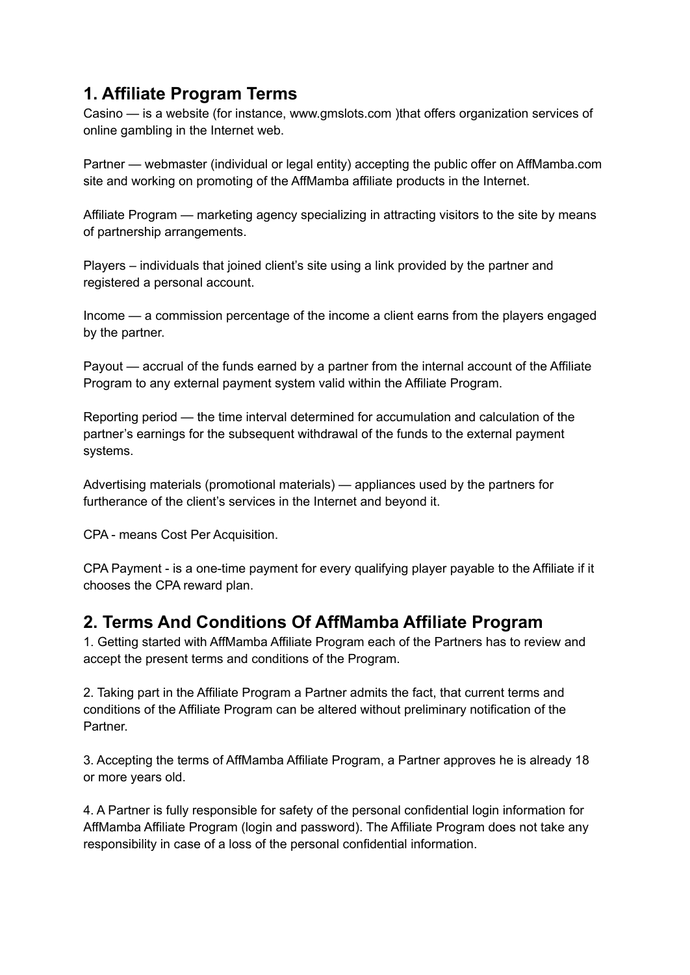## **1. Affiliate Program Terms**

Casino — is a website (for instance, www.gmslots.com )that offers organization services of online gambling in the Internet web.

Partner — webmaster (individual or legal entity) accepting the public offer on AffMamba.com site and working on promoting of the AffMamba affiliate products in the Internet.

Affiliate Program — marketing agency specializing in attracting visitors to the site by means of partnership arrangements.

Players – individuals that joined client's site using a link provided by the partner and registered a personal account.

Income — a commission percentage of the income a client earns from the players engaged by the partner.

Payout — accrual of the funds earned by a partner from the internal account of the Affiliate Program to any external payment system valid within the Affiliate Program.

Reporting period — the time interval determined for accumulation and calculation of the partner's earnings for the subsequent withdrawal of the funds to the external payment systems.

Advertising materials (promotional materials) — appliances used by the partners for furtherance of the client's services in the Internet and beyond it.

CPA - means Cost Per Acquisition.

CPA Payment - is a one-time payment for every qualifying player payable to the Affiliate if it chooses the CPA reward plan.

#### **2. Terms And Conditions Of AffMamba Affiliate Program**

1. Getting started with AffMamba Affiliate Program each of the Partners has to review and accept the present terms and conditions of the Program.

2. Taking part in the Affiliate Program a Partner admits the fact, that current terms and conditions of the Affiliate Program can be altered without preliminary notification of the Partner.

3. Accepting the terms of AffMamba Affiliate Program, a Partner approves he is already 18 or more years old.

4. A Partner is fully responsible for safety of the personal confidential login information for AffMamba Affiliate Program (login and password). The Affiliate Program does not take any responsibility in case of a loss of the personal confidential information.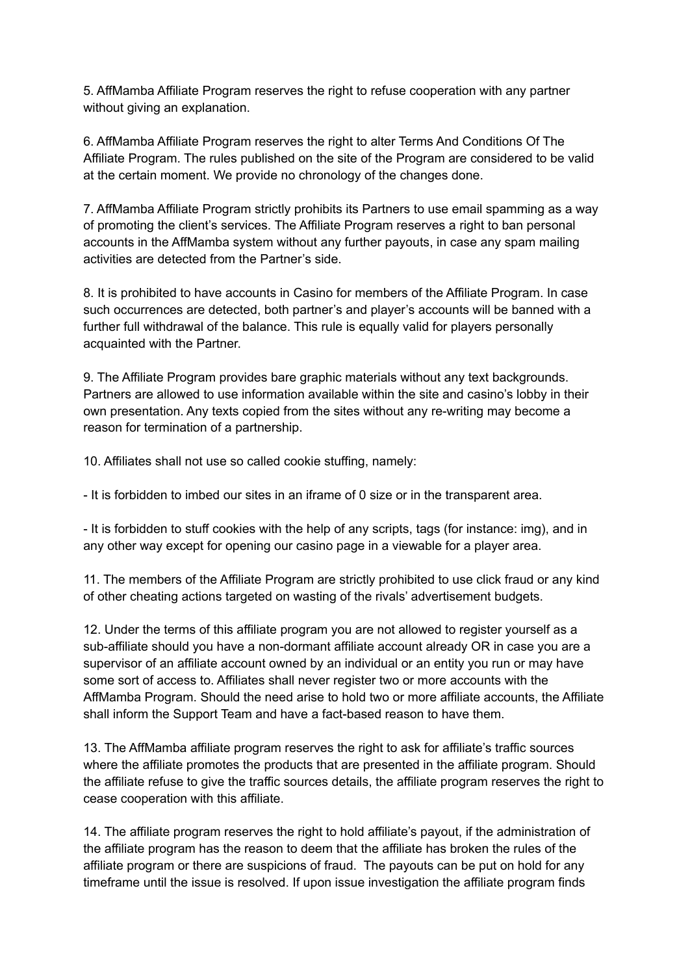5. AffMamba Affiliate Program reserves the right to refuse cooperation with any partner without giving an explanation.

6. AffMamba Affiliate Program reserves the right to alter Terms And Conditions Of The Affiliate Program. The rules published on the site of the Program are considered to be valid at the certain moment. We provide no chronology of the changes done.

7. AffMamba Affiliate Program strictly prohibits its Partners to use email spamming as a way of promoting the client's services. The Affiliate Program reserves a right to ban personal accounts in the AffMamba system without any further payouts, in case any spam mailing activities are detected from the Partner's side.

8. It is prohibited to have accounts in Casino for members of the Affiliate Program. In case such occurrences are detected, both partner's and player's accounts will be banned with a further full withdrawal of the balance. This rule is equally valid for players personally acquainted with the Partner.

9. The Affiliate Program provides bare graphic materials without any text backgrounds. Partners are allowed to use information available within the site and casino's lobby in their own presentation. Any texts copied from the sites without any re-writing may become a reason for termination of a partnership.

10. Affiliates shall not use so called cookie stuffing, namely:

- It is forbidden to imbed our sites in an iframe of 0 size or in the transparent area.

- It is forbidden to stuff cookies with the help of any scripts, tags (for instance: img), and in any other way except for opening our casino page in a viewable for a player area.

11. The members of the Affiliate Program are strictly prohibited to use click fraud or any kind of other cheating actions targeted on wasting of the rivals' advertisement budgets.

12. Under the terms of this affiliate program you are not allowed to register yourself as a sub-affiliate should you have a non-dormant affiliate account already OR in case you are a supervisor of an affiliate account owned by an individual or an entity you run or may have some sort of access to. Affiliates shall never register two or more accounts with the AffMamba Program. Should the need arise to hold two or more affiliate accounts, the Affiliate shall inform the Support Team and have a fact-based reason to have them.

13. The AffMamba affiliate program reserves the right to ask for affiliate's traffic sources where the affiliate promotes the products that are presented in the affiliate program. Should the affiliate refuse to give the traffic sources details, the affiliate program reserves the right to cease cooperation with this affiliate.

14. The affiliate program reserves the right to hold affiliate's payout, if the administration of the affiliate program has the reason to deem that the affiliate has broken the rules of the affiliate program or there are suspicions of fraud. The payouts can be put on hold for any timeframe until the issue is resolved. If upon issue investigation the affiliate program finds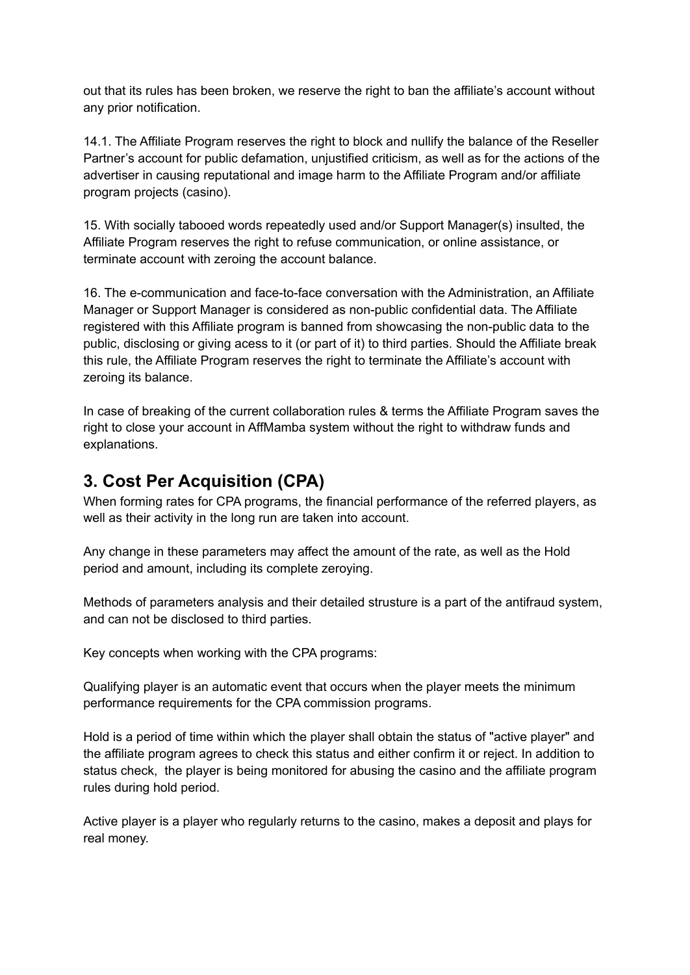out that its rules has been broken, we reserve the right to ban the affiliate's account without any prior notification.

14.1. The Affiliate Program reserves the right to block and nullify the balance of the Reseller Partner's account for public defamation, unjustified criticism, as well as for the actions of the advertiser in causing reputational and image harm to the Affiliate Program and/or affiliate program projects (casino).

15. With socially tabooed words repeatedly used and/or Support Manager(s) insulted, the Affiliate Program reserves the right to refuse communication, or online assistance, or terminate account with zeroing the account balance.

16. The e-communication and face-to-face conversation with the Administration, an Affiliate Manager or Support Manager is considered as non-public confidential data. The Affiliate registered with this Affiliate program is banned from showcasing the non-public data to the public, disclosing or giving acess to it (or part of it) to third parties. Should the Affiliate break this rule, the Affiliate Program reserves the right to terminate the Affiliate's account with zeroing its balance.

In case of breaking of the current collaboration rules & terms the Affiliate Program saves the right to close your account in AffMamba system without the right to withdraw funds and explanations.

#### **3. Cost Per Acquisition (CPA)**

When forming rates for CPA programs, the financial performance of the referred players, as well as their activity in the long run are taken into account.

Any change in these parameters may affect the amount of the rate, as well as the Hold period and amount, including its complete zeroying.

Methods of parameters analysis and their detailed strusture is a part of the antifraud system, and can not be disclosed to third parties.

Key concepts when working with the CPA programs:

Qualifying player is an automatic event that occurs when the player meets the minimum performance requirements for the CPA commission programs.

Hold is a period of time within which the player shall obtain the status of "active player" and the affiliate program agrees to check this status and either confirm it or reject. In addition to status check, the player is being monitored for abusing the casino and the affiliate program rules during hold period.

Active player is a player who regularly returns to the casino, makes a deposit and plays for real money.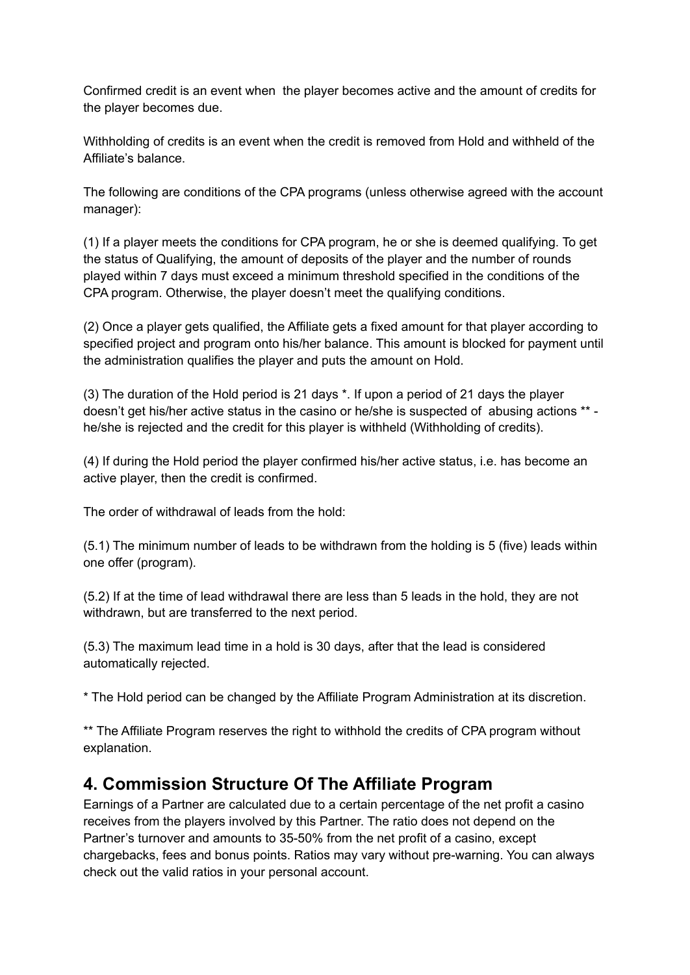Confirmed credit is an event when the player becomes active and the amount of credits for the player becomes due.

Withholding of credits is an event when the credit is removed from Hold and withheld of the Affiliate's balance.

The following are conditions of the CPA programs (unless otherwise agreed with the account manager):

(1) If a player meets the conditions for CPA program, he or she is deemed qualifying. To get the status of Qualifying, the amount of deposits of the player and the number of rounds played within 7 days must exceed a minimum threshold specified in the conditions of the CPA program. Otherwise, the player doesn't meet the qualifying conditions.

(2) Once a player gets qualified, the Affiliate gets a fixed amount for that player according to specified project and program onto his/her balance. This amount is blocked for payment until the administration qualifies the player and puts the amount on Hold.

(3) The duration of the Hold period is 21 days \*. If upon a period of 21 days the player doesn't get his/her active status in the casino or he/she is suspected of abusing actions \*\* he/she is rejected and the credit for this player is withheld (Withholding of credits).

(4) If during the Hold period the player confirmed his/her active status, i.e. has become an active player, then the credit is confirmed.

The order of withdrawal of leads from the hold:

(5.1) The minimum number of leads to be withdrawn from the holding is 5 (five) leads within one offer (program).

(5.2) If at the time of lead withdrawal there are less than 5 leads in the hold, they are not withdrawn, but are transferred to the next period.

(5.3) The maximum lead time in a hold is 30 days, after that the lead is considered automatically rejected.

\* The Hold period can be changed by the Affiliate Program Administration at its discretion.

\*\* The Affiliate Program reserves the right to withhold the credits of CPA program without explanation.

#### **4. Commission Structure Of The Affiliate Program**

Earnings of a Partner are calculated due to a certain percentage of the net profit a casino receives from the players involved by this Partner. The ratio does not depend on the Partner's turnover and amounts to 35-50% from the net profit of a casino, except chargebacks, fees and bonus points. Ratios may vary without pre-warning. You can always check out the valid ratios in your personal account.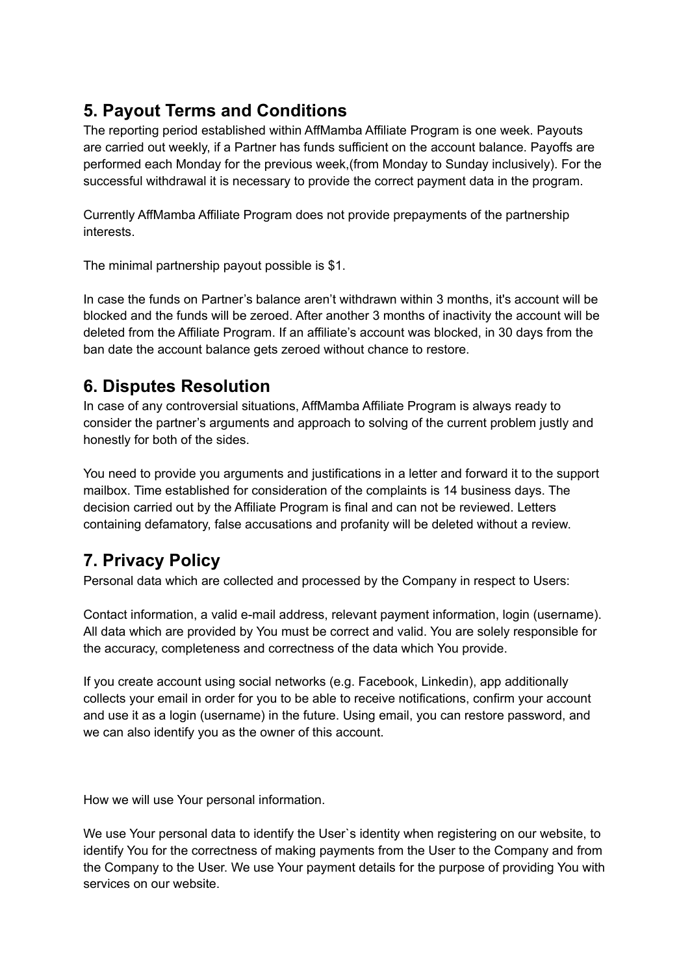## **5. Payout Terms and Conditions**

The reporting period established within AffMamba Affiliate Program is one week. Payouts are carried out weekly, if a Partner has funds sufficient on the account balance. Payoffs are performed each Monday for the previous week,(from Monday to Sunday inclusively). For the successful withdrawal it is necessary to provide the correct payment data in the program.

Currently AffMamba Affiliate Program does not provide prepayments of the partnership interests.

The minimal partnership payout possible is \$1.

In case the funds on Partner's balance aren't withdrawn within 3 months, it's account will be blocked and the funds will be zeroed. After another 3 months of inactivity the account will be deleted from the Affiliate Program. If an affiliate's account was blocked, in 30 days from the ban date the account balance gets zeroed without chance to restore.

### **6. Disputes Resolution**

In case of any controversial situations, AffMamba Affiliate Program is always ready to consider the partner's arguments and approach to solving of the current problem justly and honestly for both of the sides.

You need to provide you arguments and justifications in a letter and forward it to the support mailbox. Time established for consideration of the complaints is 14 business days. The decision carried out by the Affiliate Program is final and can not be reviewed. Letters containing defamatory, false accusations and profanity will be deleted without a review.

# **7. Privacy Policy**

Personal data which are collected and processed by the Company in respect to Users:

Contact information, а valid e-mail address, relevant payment information, login (username). All data which are provided by You must be correct and valid. You are solely responsible for the accuracy, completeness and correctness of the data which You provide.

If you create account using social networks (e.g. Facebook, Linkedin), app additionally collects your email in order for you to be able to receive notifications, confirm your account and use it as a login (username) in the future. Using email, you can restore password, and we can also identify you as the owner of this account.

How we will use Your personal information.

We use Your personal data to identify the User's identity when registering on our website, to identify You for the correctness of making payments from the User to the Company and from the Company to the User. We use Your payment details for the purpose of providing You with services on our website.